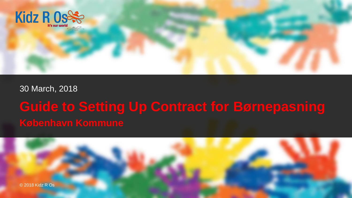

#### 30 March, 2018

# **Guide to Setting Up Contract for Børnepasning**

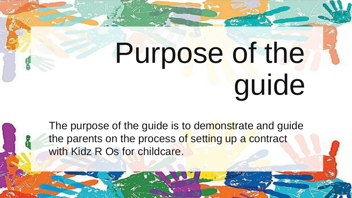# Purpose of the guide

The purpose of the guide is to demonstrate and guide the parents on the process of setting up a contract with Kidz R Os for childcare.

4 <del>C 2018 Kidz R Os 2018</del>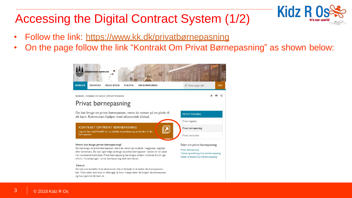## Accessing the Digital Contract System (1/2)

- Follow the link: https://www.kk.dk/privatbørnepasning
- On the page follow the link "Kontrakt Om Privat Børnepasning" as shown below:

**Kidz R C** 



Du kan som forælder få et økonomisk tilskud til hiælp til at betale din børnepassers løn. Tilskuddets størrelse er afhængigt af, hvor mange timer du bruger din børnepasser og hvor gammel dit barn er.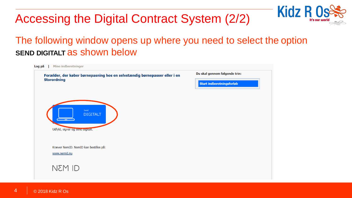## Accessing the Digital Contract System (2/2)



**Kidz R** 

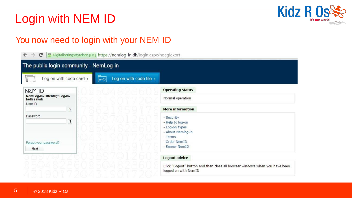## Login with NEM ID



## You now need to login with your NEM ID

| A Digitaliseringsstyrelsen [DK] https://nemlog-in.dk/login.aspx/noeglekort<br>c<br>$\leftarrow$<br>$\rightarrow$ |                                                                                                                    |
|------------------------------------------------------------------------------------------------------------------|--------------------------------------------------------------------------------------------------------------------|
| The public login community - NemLog-in                                                                           |                                                                                                                    |
| Log on with code card ><br>Log on with code file $\rightarrow$                                                   |                                                                                                                    |
| <b>CILM3N</b>                                                                                                    | <b>Operating status</b>                                                                                            |
| NemLog-in-Offentligt Log-in-<br>fællesskab<br>User ID                                                            | Normal operation                                                                                                   |
| $\overline{\mathbf{?}}$                                                                                          | <b>More information</b>                                                                                            |
| Password<br>$\overline{\mathbf{?}}$<br>Forgot your password?<br>Next                                             | - Security<br>- Help to log-on<br>- Log-on types<br>- About Nemlog-in<br>- Terms<br>- Order NemID<br>- Renew NemID |
|                                                                                                                  | Logout advice                                                                                                      |
|                                                                                                                  | Click "Logout" button and then close all browser windows when you have been<br>logged on with NemID                |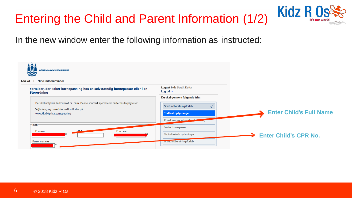## Entering the Child and Parent Information (1/2)



In the new window enter the following information as instructed:

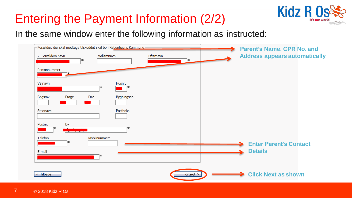## Entering the Payment Information (2/2)



In the same window enter the following information as instructed:

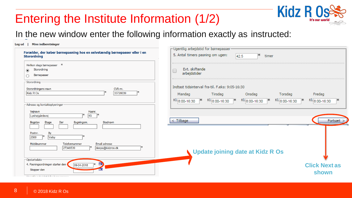## Entering the Institute Information (1/2)



### In the new window enter the following information exactly as instructed:

#### Log ud | Mine indberetninger

| Forælder, der køber børnepasning hos en selvstændig børnepasser eller i en<br><b>Storordning</b>                                  | r Ugentlig arbejdstid for børnepasser<br>5. Antal timers pasning om ugen:<br>ж<br>42.5<br>timer                                                                                    |                               |
|-----------------------------------------------------------------------------------------------------------------------------------|------------------------------------------------------------------------------------------------------------------------------------------------------------------------------------|-------------------------------|
| $\ast$<br>Hvilken slags børnepasser<br>Storordning<br>$\odot$<br>Børnepasser                                                      | Evt. skiftende<br>0<br>arbejdstider                                                                                                                                                |                               |
| <b>Storordning</b><br>CVR-nr.<br>Storordningens navn<br>35726039<br>Kidz R Os<br>Adresse og kontaktoplysninger                    | Indtast tidsinterval fra-til. F.eks: 9:05-16:30<br>Onsdag<br>Torsdag<br>Mandag<br>Tirsdag<br>KI. 8:00-16:30<br>KI. 8:00-16:30<br>KI. 8:00-16:30<br>KI. 8:00-16:30<br>Ж.<br>Ж.<br>ж | Fredag<br>KI. 8:00-16:30<br>ж |
| Vejnavn<br>Husnr.<br>45<br>Lyshøjgårdsvej<br>Stednavn<br>Bygningsnr.<br><b>Bogstav</b><br>Etage<br>Dør                            | $<$ Tilbage                                                                                                                                                                        | Fortsæt $>$                   |
| By<br>Postnr.<br>Valby<br>2500<br>Mobilnummer<br>Telefonnummer<br>Email adresse<br>27346539<br>deepa@kidzros.dk<br>-Opstartsdato- | <b>Update joining date at Kidz R Os</b>                                                                                                                                            |                               |
| m<br>4. Pasningsordningen starter den<br>09-04-2018<br>Stopper den<br>The could be a side of their different components on        |                                                                                                                                                                                    | <b>Click Next as</b><br>shown |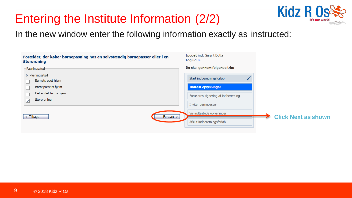## Entering the Institute Information (2/2)



In the new window enter the following information exactly as instructed:

| Forælder, der køber børnepasning hos en selvstændig børnepasser eller i en<br><b>Storordning</b> | <b>Logget ind: Surajit Dutta</b><br>Log ud $\rightarrow$   |                            |
|--------------------------------------------------------------------------------------------------|------------------------------------------------------------|----------------------------|
| $\sqsubset$ Pasningssted -                                                                       | Du skal gennem følgende trin:                              |                            |
| 6. Pasningssted<br>Barnets eget hjem<br>Børnepassers hjem                                        | Start indberetningsforløb<br><b>Indtast oplysninger</b>    |                            |
| Det andet barns hjem<br>Storordning<br>$\boxed{\small\diagup}$                                   | Forældres signering af indberetning<br>Inviter børnepasser |                            |
| Fortsæt ><br>$\vert$ < Tilbage                                                                   | Vis indtastede oplysninger<br>Afslut indberetningsforløb   | <b>Click Next as shown</b> |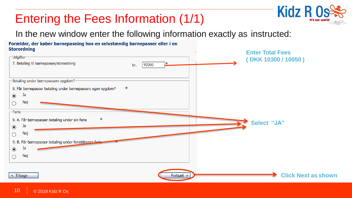# Entering the Fees Information (1/1)



### In the new window enter the following information exactly as instructed:

#### Forælder, der køber børnepasning hos en selvstændig børnepasser eller i en **Storordning**

| storer annug                                                     | <b>Enter Total Fees</b>    |
|------------------------------------------------------------------|----------------------------|
| - Udgifter -                                                     | (DKK 10300 / 10050)        |
| 7. Betaling til børnepasser/storordning<br>ж<br>10300<br>kr.     |                            |
| Betaling under børnepassers sygdom? -                            |                            |
| Ж<br>8. Får børnepasser betaling under børnepassers egen sygdom? |                            |
| Ja<br>$\circledbullet$                                           |                            |
| Nej<br>О                                                         |                            |
| Ferie-                                                           |                            |
| Ж<br>9. A. Får børnepasser betaling under sin ferie              | Select "JA"                |
| Ja<br>$\circledbullet$                                           |                            |
| Nej<br>$\circ$                                                   |                            |
| 9. B. Får børnepasser betaling under forældrenes forie-          |                            |
| Ja<br>$\odot$                                                    |                            |
| Nej                                                              |                            |
|                                                                  |                            |
| $<$ Tilbage<br>Fortsæt >                                         | <b>Click Next as shown</b> |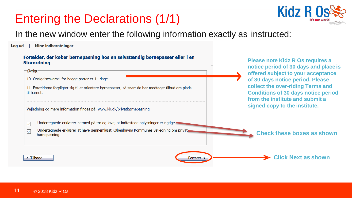## Entering the Declarations (1/1)



**Please note Kidz R Os requires a notice period of 30 days and place is** 

In the new window enter the following information exactly as instructed:

**Mine indberetninger** Log ud

#### Forælder, der køber børnepasning hos en selvstændig børnepasser eller i en **Storordning**

| Øvrigt-                                                                                                                 | offered subject to your acceptance                                                                                 |  |
|-------------------------------------------------------------------------------------------------------------------------|--------------------------------------------------------------------------------------------------------------------|--|
| 10. Opsigelsesvarsel for begge parter er 14 dage                                                                        | of 30 days notice period. Please                                                                                   |  |
| 11. Forældrene forpligter sig til at orientere børnepasser, så snart de har modtaget tilbud om plads<br>til barnet.     | collect the over-riding Terms and<br><b>Conditions of 30 days notice period</b><br>from the institute and submit a |  |
| Vejledning og mere information findes på www.kk.dk/privatbørnepasning                                                   | signed copy to the institute.                                                                                      |  |
| Undertegnede erklærer hermed på tro og love, at indtastede oplysninger er rigtige.<br>$\overline{\vee}$                 |                                                                                                                    |  |
| Undertegnede erklærer at have gennemlæst Københavns Kommunes vejledning om privat<br>$\overline{\vee}$<br>børnepasning. | <b>Check these boxes as shown</b>                                                                                  |  |
| $\leq$ Tilbage<br>Fortsæt ;                                                                                             | <b>Click Next as shown</b>                                                                                         |  |